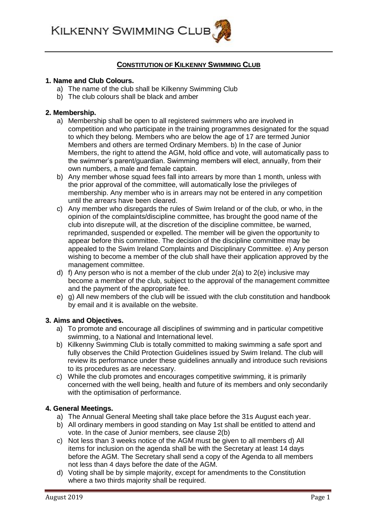**KILKENNY SWIMMING CLUB** 

# **CONSTITUTION OF KILKENNY SWIMMING CLUB**

#### **1. Name and Club Colours.**

- a) The name of the club shall be Kilkenny Swimming Club
- b) The club colours shall be black and amber

#### **2. Membership.**

- a) Membership shall be open to all registered swimmers who are involved in competition and who participate in the training programmes designated for the squad to which they belong. Members who are below the age of 17 are termed Junior Members and others are termed Ordinary Members. b) In the case of Junior Members, the right to attend the AGM, hold office and vote, will automatically pass to the swimmer's parent/guardian. Swimming members will elect, annually, from their own numbers, a male and female captain.
- b) Any member whose squad fees fall into arrears by more than 1 month, unless with the prior approval of the committee, will automatically lose the privileges of membership. Any member who is in arrears may not be entered in any competition until the arrears have been cleared.
- c) Any member who disregards the rules of Swim Ireland or of the club, or who, in the opinion of the complaints/discipline committee, has brought the good name of the club into disrepute will, at the discretion of the discipline committee, be warned, reprimanded, suspended or expelled. The member will be given the opportunity to appear before this committee. The decision of the discipline committee may be appealed to the Swim Ireland Complaints and Disciplinary Committee. e) Any person wishing to become a member of the club shall have their application approved by the management committee.
- d) f) Any person who is not a member of the club under 2(a) to 2(e) inclusive may become a member of the club, subject to the approval of the management committee and the payment of the appropriate fee.
- e) g) All new members of the club will be issued with the club constitution and handbook by email and it is available on the website.

#### **3. Aims and Objectives.**

- a) To promote and encourage all disciplines of swimming and in particular competitive swimming, to a National and International level.
- b) Kilkenny Swimming Club is totally committed to making swimming a safe sport and fully observes the Child Protection Guidelines issued by Swim Ireland. The club will review its performance under these guidelines annually and introduce such revisions to its procedures as are necessary.
- c) While the club promotes and encourages competitive swimming, it is primarily concerned with the well being, health and future of its members and only secondarily with the optimisation of performance.

#### **4. General Meetings.**

- a) The Annual General Meeting shall take place before the 31s August each year.
- b) All ordinary members in good standing on May 1st shall be entitled to attend and vote. In the case of Junior members, see clause 2(b)
- c) Not less than 3 weeks notice of the AGM must be given to all members d) All items for inclusion on the agenda shall be with the Secretary at least 14 days before the AGM. The Secretary shall send a copy of the Agenda to all members not less than 4 days before the date of the AGM.
- d) Voting shall be by simple majority, except for amendments to the Constitution where a two thirds majority shall be required.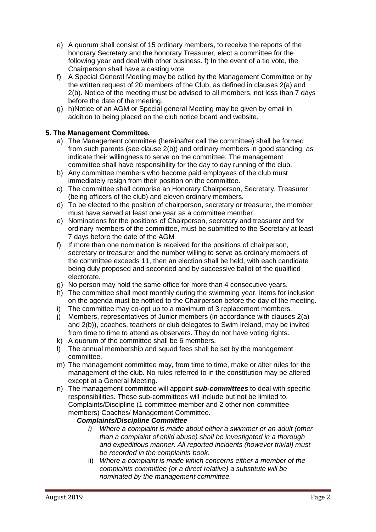- e) A quorum shall consist of 15 ordinary members, to receive the reports of the honorary Secretary and the honorary Treasurer, elect a committee for the following year and deal with other business. f) In the event of a tie vote, the Chairperson shall have a casting vote.
- f) A Special General Meeting may be called by the Management Committee or by the written request of 20 members of the Club, as defined in clauses 2(a) and 2(b). Notice of the meeting must be advised to all members, not less than 7 days before the date of the meeting.
- g) h)Notice of an AGM or Special general Meeting may be given by email in addition to being placed on the club notice board and website.

# **5. The Management Committee.**

- a) The Management committee (hereinafter call the committee) shall be formed from such parents (see clause 2(b)) and ordinary members in good standing, as indicate their willingness to serve on the committee. The management committee shall have responsibility for the day to day running of the club.
- b) Any committee members who become paid employees of the club must immediately resign from their position on the committee.
- c) The committee shall comprise an Honorary Chairperson, Secretary, Treasurer (being officers of the club) and eleven ordinary members.
- d) To be elected to the position of chairperson, secretary or treasurer, the member must have served at least one year as a committee member
- e) Nominations for the positions of Chairperson, secretary and treasurer and for ordinary members of the committee, must be submitted to the Secretary at least 7 days before the date of the AGM
- f) If more than one nomination is received for the positions of chairperson, secretary or treasurer and the number willing to serve as ordinary members of the committee exceeds 11, then an election shall be held, with each candidate being duly proposed and seconded and by successive ballot of the qualified electorate.
- g) No person may hold the same office for more than 4 consecutive years.
- h) The committee shall meet monthly during the swimming year. Items for inclusion on the agenda must be notified to the Chairperson before the day of the meeting.
- i) The committee may co-opt up to a maximum of 3 replacement members.
- j) Members, representatives of Junior members (in accordance with clauses 2(a) and 2(b)), coaches, teachers or club delegates to Swim Ireland, may be invited from time to time to attend as observers. They do not have voting rights.
- k) A quorum of the committee shall be 6 members.
- l) The annual membership and squad fees shall be set by the management committee.
- m) The management committee may, from time to time, make or alter rules for the management of the club. No rules referred to in the constitution may be altered except at a General Meeting.
- n) The management committee will appoint *sub-committees* to deal with specific responsibilities. These sub-committees will include but not be limited to, Complaints/Discipline (1 committee member and 2 other non-committee members) Coaches/ Management Committee.

# *Complaints/Discipline Committee*

- *i) Where a complaint is made about either a swimmer or an adult (other than a complaint of child abuse) shall be investigated in a thorough and expeditious manner. All reported incidents (however trivial) must be recorded in the complaints book.*
- ii) *Where a complaint is made which concerns either a member of the complaints committee (or a direct relative) a substitute will be nominated by the management committee.*